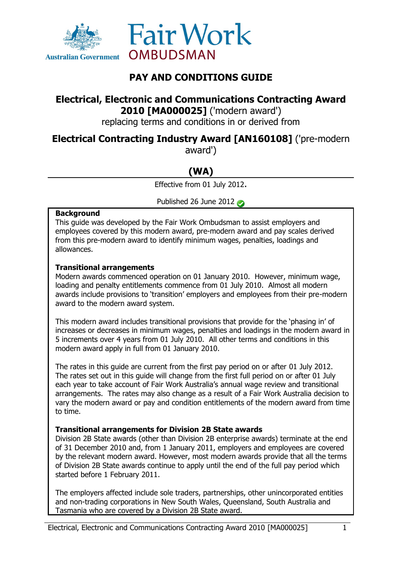



## **PAY AND CONDITIONS GUIDE**

## **Electrical, Electronic and Communications Contracting Award 2010 [MA000025]** ('modern award')

replacing terms and conditions in or derived from

## **Electrical Contracting Industry Award [AN160108]** ('pre-modern

award')

# **(WA)**

Effective from 01 July 2012.

Published 26 June 2012

#### **Background**

This guide was developed by the Fair Work Ombudsman to assist employers and employees covered by this modern award, pre-modern award and pay scales derived from this pre-modern award to identify minimum wages, penalties, loadings and allowances.

#### **Transitional arrangements**

Modern awards commenced operation on 01 January 2010. However, minimum wage, loading and penalty entitlements commence from 01 July 2010. Almost all modern awards include provisions to 'transition' employers and employees from their pre-modern award to the modern award system.

This modern award includes transitional provisions that provide for the 'phasing in' of increases or decreases in minimum wages, penalties and loadings in the modern award in 5 increments over 4 years from 01 July 2010. All other terms and conditions in this modern award apply in full from 01 January 2010.

The rates in this guide are current from the first pay period on or after 01 July 2012. The rates set out in this guide will change from the first full period on or after 01 July each year to take account of Fair Work Australia's annual wage review and transitional arrangements. The rates may also change as a result of a Fair Work Australia decision to vary the modern award or pay and condition entitlements of the modern award from time to time.

#### **Transitional arrangements for Division 2B State awards**

Division 2B State awards (other than Division 2B enterprise awards) terminate at the end of 31 December 2010 and, from 1 January 2011, employers and employees are covered by the relevant modern award. However, most modern awards provide that all the terms of Division 2B State awards continue to apply until the end of the full pay period which started before 1 February 2011.

The employers affected include sole traders, partnerships, other unincorporated entities and non-trading corporations in New South Wales, Queensland, South Australia and Tasmania who are covered by a Division 2B State award.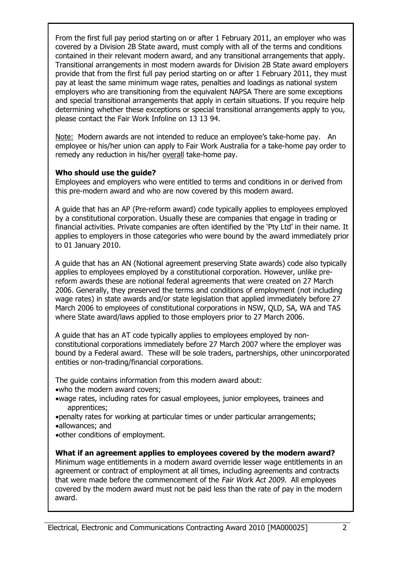From the first full pay period starting on or after 1 February 2011, an employer who was covered by a Division 2B State award, must comply with all of the terms and conditions contained in their relevant modern award, and any transitional arrangements that apply. Transitional arrangements in most modern awards for Division 2B State award employers provide that from the first full pay period starting on or after 1 February 2011, they must pay at least the same minimum wage rates, penalties and loadings as national system employers who are transitioning from the equivalent NAPSA There are some exceptions and special transitional arrangements that apply in certain situations. If you require help determining whether these exceptions or special transitional arrangements apply to you, please contact the Fair Work Infoline on 13 13 94.

Note: Modern awards are not intended to reduce an employee's take-home pay. An employee or his/her union can apply to Fair Work Australia for a take-home pay order to remedy any reduction in his/her overall take-home pay.

#### **Who should use the guide?**

Employees and employers who were entitled to terms and conditions in or derived from this pre-modern award and who are now covered by this modern award.

A guide that has an AP (Pre-reform award) code typically applies to employees employed by a constitutional corporation. Usually these are companies that engage in trading or financial activities. Private companies are often identified by the 'Pty Ltd' in their name. It applies to employers in those categories who were bound by the award immediately prior to 01 January 2010.

A guide that has an AN (Notional agreement preserving State awards) code also typically applies to employees employed by a constitutional corporation. However, unlike prereform awards these are notional federal agreements that were created on 27 March 2006. Generally, they preserved the terms and conditions of employment (not including wage rates) in state awards and/or state legislation that applied immediately before 27 March 2006 to employees of constitutional corporations in NSW, QLD, SA, WA and TAS where State award/laws applied to those employers prior to 27 March 2006.

A guide that has an AT code typically applies to employees employed by nonconstitutional corporations immediately before 27 March 2007 where the employer was bound by a Federal award. These will be sole traders, partnerships, other unincorporated entities or non-trading/financial corporations.

The guide contains information from this modern award about:

- who the modern award covers;
- wage rates, including rates for casual employees, junior employees, trainees and apprentices;
- penalty rates for working at particular times or under particular arrangements; allowances; and
- other conditions of employment.

**What if an agreement applies to employees covered by the modern award?** Minimum wage entitlements in a modern award override lesser wage entitlements in an agreement or contract of employment at all times, including agreements and contracts that were made before the commencement of the Fair Work Act 2009. All employees covered by the modern award must not be paid less than the rate of pay in the modern award.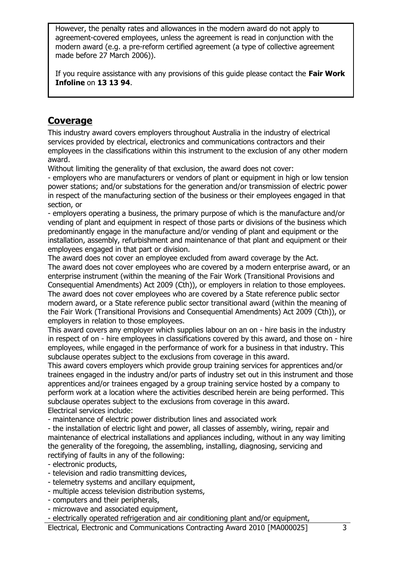However, the penalty rates and allowances in the modern award do not apply to agreement-covered employees, unless the agreement is read in conjunction with the modern award (e.g. a pre-reform certified agreement (a type of collective agreement made before 27 March 2006)).

If you require assistance with any provisions of this guide please contact the **Fair Work Infoline** on **13 13 94**.

### **Coverage**

This industry award covers employers throughout Australia in the industry of electrical services provided by electrical, electronics and communications contractors and their employees in the classifications within this instrument to the exclusion of any other modern award.

Without limiting the generality of that exclusion, the award does not cover:

- employers who are manufacturers or vendors of plant or equipment in high or low tension power stations; and/or substations for the generation and/or transmission of electric power in respect of the manufacturing section of the business or their employees engaged in that section, or

- employers operating a business, the primary purpose of which is the manufacture and/or vending of plant and equipment in respect of those parts or divisions of the business which predominantly engage in the manufacture and/or vending of plant and equipment or the installation, assembly, refurbishment and maintenance of that plant and equipment or their employees engaged in that part or division.

The award does not cover an employee excluded from award coverage by the Act. The award does not cover employees who are covered by a modern enterprise award, or an enterprise instrument (within the meaning of the Fair Work (Transitional Provisions and Consequential Amendments) Act 2009 (Cth)), or employers in relation to those employees. The award does not cover employees who are covered by a State reference public sector modern award, or a State reference public sector transitional award (within the meaning of the Fair Work (Transitional Provisions and Consequential Amendments) Act 2009 (Cth)), or employers in relation to those employees.

This award covers any employer which supplies labour on an on - hire basis in the industry in respect of on - hire employees in classifications covered by this award, and those on - hire employees, while engaged in the performance of work for a business in that industry. This subclause operates subject to the exclusions from coverage in this award.

This award covers employers which provide group training services for apprentices and/or trainees engaged in the industry and/or parts of industry set out in this instrument and those apprentices and/or trainees engaged by a group training service hosted by a company to perform work at a location where the activities described herein are being performed. This subclause operates subject to the exclusions from coverage in this award. Electrical services include:

- maintenance of electric power distribution lines and associated work

- the installation of electric light and power, all classes of assembly, wiring, repair and maintenance of electrical installations and appliances including, without in any way limiting the generality of the foregoing, the assembling, installing, diagnosing, servicing and rectifying of faults in any of the following:

- electronic products,

- television and radio transmitting devices,
- telemetry systems and ancillary equipment,
- multiple access television distribution systems,
- computers and their peripherals,
- microwave and associated equipment,

- electrically operated refrigeration and air conditioning plant and/or equipment,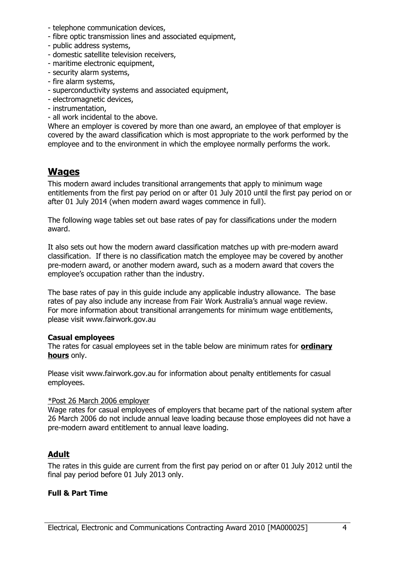- telephone communication devices,
- fibre optic transmission lines and associated equipment,
- public address systems,
- domestic satellite television receivers,
- maritime electronic equipment.
- security alarm systems,
- fire alarm systems,
- superconductivity systems and associated equipment,
- electromagnetic devices,
- instrumentation,
- all work incidental to the above.

Where an employer is covered by more than one award, an employee of that employer is covered by the award classification which is most appropriate to the work performed by the employee and to the environment in which the employee normally performs the work.

### **Wages**

This modern award includes transitional arrangements that apply to minimum wage entitlements from the first pay period on or after 01 July 2010 until the first pay period on or after 01 July 2014 (when modern award wages commence in full).

The following wage tables set out base rates of pay for classifications under the modern award.

It also sets out how the modern award classification matches up with pre-modern award classification. If there is no classification match the employee may be covered by another pre-modern award, or another modern award, such as a modern award that covers the employee's occupation rather than the industry.

The base rates of pay in this guide include any applicable industry allowance. The base rates of pay also include any increase from Fair Work Australia's annual wage review. For more information about transitional arrangements for minimum wage entitlements, please visit www.fairwork.gov.au

#### **Casual employees**

The rates for casual employees set in the table below are minimum rates for **ordinary hours** only.

Please visit www.fairwork.gov.au for information about penalty entitlements for casual employees.

#### \*Post 26 March 2006 employer

Wage rates for casual employees of employers that became part of the national system after 26 March 2006 do not include annual leave loading because those employees did not have a pre-modern award entitlement to annual leave loading.

#### **Adult**

The rates in this guide are current from the first pay period on or after 01 July 2012 until the final pay period before 01 July 2013 only.

#### **Full & Part Time**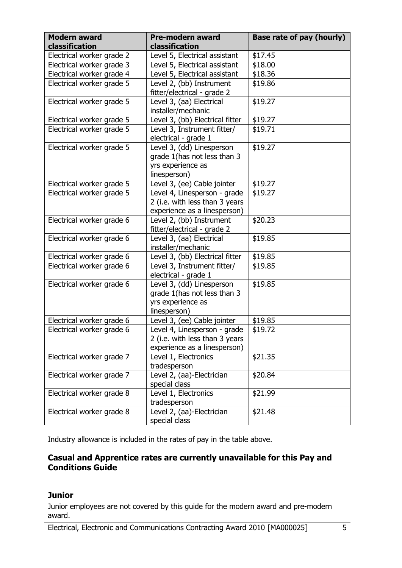| <b>Modern award</b>       | <b>Pre-modern award</b>         | Base rate of pay (hourly) |
|---------------------------|---------------------------------|---------------------------|
| classification            | classification                  |                           |
| Electrical worker grade 2 | Level 5, Electrical assistant   | \$17.45                   |
| Electrical worker grade 3 | Level 5, Electrical assistant   | \$18.00                   |
| Electrical worker grade 4 | Level 5, Electrical assistant   | \$18.36                   |
| Electrical worker grade 5 | Level 2, (bb) Instrument        | \$19.86                   |
|                           | fitter/electrical - grade 2     |                           |
| Electrical worker grade 5 | Level 3, (aa) Electrical        | \$19.27                   |
|                           | installer/mechanic              |                           |
| Electrical worker grade 5 | Level 3, (bb) Electrical fitter | \$19.27                   |
| Electrical worker grade 5 | Level 3, Instrument fitter/     | \$19.71                   |
|                           | electrical - grade 1            |                           |
| Electrical worker grade 5 | Level 3, (dd) Linesperson       | \$19.27                   |
|                           | grade 1(has not less than 3     |                           |
|                           | yrs experience as               |                           |
|                           | linesperson)                    |                           |
| Electrical worker grade 5 | Level 3, (ee) Cable jointer     | \$19.27                   |
| Electrical worker grade 5 | Level 4, Linesperson - grade    | \$19.27                   |
|                           | 2 (i.e. with less than 3 years  |                           |
|                           | experience as a linesperson)    |                           |
| Electrical worker grade 6 | Level 2, (bb) Instrument        | \$20.23                   |
|                           | fitter/electrical - grade 2     |                           |
| Electrical worker grade 6 | Level 3, (aa) Electrical        | \$19.85                   |
|                           | installer/mechanic              |                           |
| Electrical worker grade 6 | Level 3, (bb) Electrical fitter | \$19.85                   |
| Electrical worker grade 6 | Level 3, Instrument fitter/     | \$19.85                   |
|                           | electrical - grade 1            |                           |
| Electrical worker grade 6 | Level 3, (dd) Linesperson       | \$19.85                   |
|                           | grade 1(has not less than 3     |                           |
|                           | yrs experience as               |                           |
|                           | linesperson)                    |                           |
| Electrical worker grade 6 | Level 3, (ee) Cable jointer     | \$19.85                   |
| Electrical worker grade 6 | Level 4, Linesperson - grade    | \$19.72                   |
|                           | 2 (i.e. with less than 3 years  |                           |
|                           | experience as a linesperson)    |                           |
| Electrical worker grade 7 | Level 1, Electronics            | \$21.35                   |
|                           | tradesperson                    |                           |
| Electrical worker grade 7 | Level 2, (aa)-Electrician       | \$20.84                   |
|                           | special class                   |                           |
| Electrical worker grade 8 | Level 1, Electronics            | \$21.99                   |
|                           | tradesperson                    |                           |
| Electrical worker grade 8 | Level 2, (aa)-Electrician       | \$21.48                   |
|                           | special class                   |                           |

Industry allowance is included in the rates of pay in the table above.

### **Casual and Apprentice rates are currently unavailable for this Pay and Conditions Guide**

### **Junior**

Junior employees are not covered by this guide for the modern award and pre-modern award.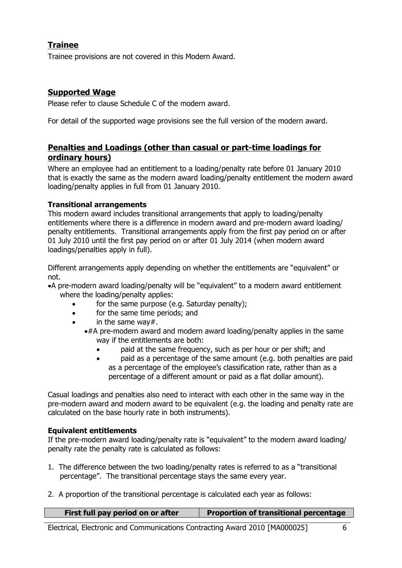### **Trainee**

Trainee provisions are not covered in this Modern Award.

#### **Supported Wage**

Please refer to clause Schedule C of the modern award.

For detail of the supported wage provisions see the full version of the modern award.

### **Penalties and Loadings (other than casual or part-time loadings for ordinary hours)**

Where an employee had an entitlement to a loading/penalty rate before 01 January 2010 that is exactly the same as the modern award loading/penalty entitlement the modern award loading/penalty applies in full from 01 January 2010.

#### **Transitional arrangements**

This modern award includes transitional arrangements that apply to loading/penalty entitlements where there is a difference in modern award and pre-modern award loading/ penalty entitlements. Transitional arrangements apply from the first pay period on or after 01 July 2010 until the first pay period on or after 01 July 2014 (when modern award loadings/penalties apply in full).

Different arrangements apply depending on whether the entitlements are "equivalent" or not.

A pre-modern award loading/penalty will be "equivalent" to a modern award entitlement where the loading/penalty applies:

- for the same purpose (e.g. Saturday penalty);
- for the same time periods; and
- in the same way#.
	- $*#A$  pre-modern award and modern award loading/penalty applies in the same way if the entitlements are both:
		- paid at the same frequency, such as per hour or per shift; and
		- paid as a percentage of the same amount (e.g. both penalties are paid as a percentage of the employee's classification rate, rather than as a percentage of a different amount or paid as a flat dollar amount).

Casual loadings and penalties also need to interact with each other in the same way in the pre-modern award and modern award to be equivalent (e.g. the loading and penalty rate are calculated on the base hourly rate in both instruments).

#### **Equivalent entitlements**

If the pre-modern award loading/penalty rate is "equivalent" to the modern award loading/ penalty rate the penalty rate is calculated as follows:

- 1. The difference between the two loading/penalty rates is referred to as a "transitional percentage". The transitional percentage stays the same every year.
- 2. A proportion of the transitional percentage is calculated each year as follows:

| First full pay period on or after | <b>Proportion of transitional percentage</b> |
|-----------------------------------|----------------------------------------------|
|                                   |                                              |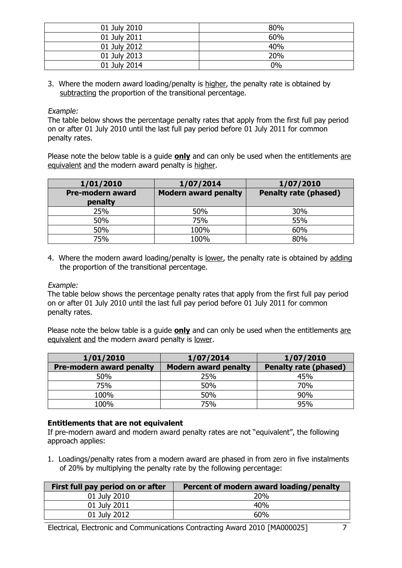| 01 July 2010 | 80%   |
|--------------|-------|
| 01 July 2011 | 60%   |
| 01 July 2012 | 40%   |
| 01 July 2013 | 20%   |
| 01 July 2014 | $0\%$ |

3. Where the modern award loading/penalty is higher, the penalty rate is obtained by subtracting the proportion of the transitional percentage.

Example:

The table below shows the percentage penalty rates that apply from the first full pay period on or after 01 July 2010 until the last full pay period before 01 July 2011 for common penalty rates.

Please note the below table is a guide **only** and can only be used when the entitlements are equivalent and the modern award penalty is higher.

| 1/01/2010                   | 1/07/2014                   | 1/07/2010                    |
|-----------------------------|-----------------------------|------------------------------|
| Pre-modern award<br>penalty | <b>Modern award penalty</b> | <b>Penalty rate (phased)</b> |
| 25%                         | 50%                         | 30%                          |
| 50%                         | 75%                         | 55%                          |
| 50%                         | 100%                        | 60%                          |
| 75%                         | 100%                        | 80%                          |

4. Where the modern award loading/penalty is lower, the penalty rate is obtained by adding the proportion of the transitional percentage.

Example:

The table below shows the percentage penalty rates that apply from the first full pay period on or after 01 July 2010 until the last full pay period before 01 July 2011 for common penalty rates.

Please note the below table is a guide **only** and can only be used when the entitlements are equivalent and the modern award penalty is lower.

| 1/01/2010                       | 1/07/2014                   | 1/07/2010                    |
|---------------------------------|-----------------------------|------------------------------|
| <b>Pre-modern award penalty</b> | <b>Modern award penalty</b> | <b>Penalty rate (phased)</b> |
| 50%                             | 25%                         | 45%                          |
| 75%                             | 50%                         | 70%                          |
| 100%                            | 50%                         | 90%                          |
| 100%                            | 75%                         | 95%                          |

#### **Entitlements that are not equivalent**

If pre-modern award and modern award penalty rates are not "equivalent", the following approach applies:

1. Loadings/penalty rates from a modern award are phased in from zero in five instalments of 20% by multiplying the penalty rate by the following percentage:

| Percent of modern award loading/penalty |
|-----------------------------------------|
| 20%                                     |
| 40%                                     |
| 60%                                     |
|                                         |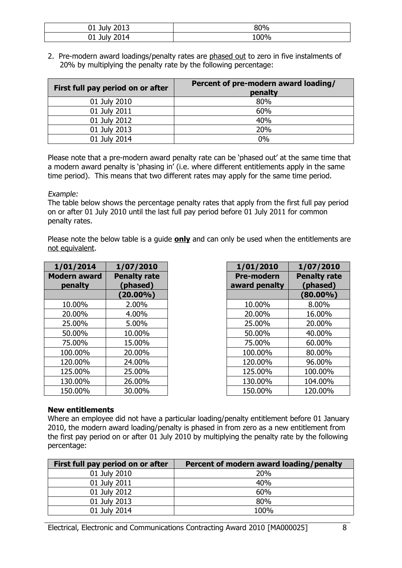| 2012<br>J1 Julv<br>2013             | 80%  |
|-------------------------------------|------|
| 2014<br>. 1. dv.<br>UI JU.<br>∟∪⊥ ≀ | 100% |

2. Pre-modern award loadings/penalty rates are phased out to zero in five instalments of 20% by multiplying the penalty rate by the following percentage:

| First full pay period on or after | Percent of pre-modern award loading/<br>penalty |
|-----------------------------------|-------------------------------------------------|
| 01 July 2010                      | 80%                                             |
| 01 July 2011                      | 60%                                             |
| 01 July 2012                      | 40%                                             |
| 01 July 2013                      | 20%                                             |
| 01 July 2014                      | 0%                                              |

Please note that a pre-modern award penalty rate can be 'phased out' at the same time that a modern award penalty is 'phasing in' (i.e. where different entitlements apply in the same time period). This means that two different rates may apply for the same time period.

#### Example:

The table below shows the percentage penalty rates that apply from the first full pay period on or after 01 July 2010 until the last full pay period before 01 July 2011 for common penalty rates.

Please note the below table is a guide **only** and can only be used when the entitlements are not equivalent.

| 1/01/2014                      | 1/07/2010                       | 1/01/2010                          | 1/07/2010                       |
|--------------------------------|---------------------------------|------------------------------------|---------------------------------|
| <b>Modern award</b><br>penalty | <b>Penalty rate</b><br>(phased) | <b>Pre-modern</b><br>award penalty | <b>Penalty rate</b><br>(phased) |
|                                | $(20.00\%)$                     |                                    | $(80.00\%)$                     |
| 10.00%                         | 2.00%                           | 10.00%                             | 8.00%                           |
| 20.00%                         | 4.00%                           | 20.00%                             | 16.00%                          |
| 25.00%                         | 5.00%                           | 25.00%                             | 20.00%                          |
| 50.00%                         | 10.00%                          | 50.00%                             | 40.00%                          |
| 75.00%                         | 15.00%                          | 75.00%                             | 60.00%                          |
| 100.00%                        | 20.00%                          | 100.00%                            | 80.00%                          |
| 120.00%                        | 24.00%                          | 120.00%                            | 96.00%                          |
| 125.00%                        | 25.00%                          | 125.00%                            | 100.00%                         |
| 130.00%                        | 26.00%                          | 130.00%                            | 104.00%                         |
| 150.00%                        | 30.00%                          | 150.00%                            | 120.00%                         |

| l/07/2010               | 1/01/2010                          | 1/07/2010                       |
|-------------------------|------------------------------------|---------------------------------|
| enalty rate<br>(phased) | <b>Pre-modern</b><br>award penalty | <b>Penalty rate</b><br>(phased) |
| $(20.00\%)$             |                                    | $(80.00\%)$                     |
| 2.00%                   | 10.00%                             | 8.00%                           |
| 4.00%                   | 20.00%                             | 16.00%                          |
| 5.00%                   | 25.00%                             | 20.00%                          |
| 10.00%                  | 50.00%                             | 40.00%                          |
| 15.00%                  | 75.00%                             | 60.00%                          |
| 20.00%                  | 100.00%                            | 80.00%                          |
| 24.00%                  | 120.00%                            | 96.00%                          |
| 25.00%                  | 125.00%                            | 100.00%                         |
| 26.00%                  | 130.00%                            | 104.00%                         |
| 30.00%                  | 150.00%                            | 120.00%                         |

#### **New entitlements**

Where an employee did not have a particular loading/penalty entitlement before 01 January 2010, the modern award loading/penalty is phased in from zero as a new entitlement from the first pay period on or after 01 July 2010 by multiplying the penalty rate by the following percentage:

| First full pay period on or after | Percent of modern award loading/penalty |
|-----------------------------------|-----------------------------------------|
| 01 July 2010                      | 20%                                     |
| 01 July 2011                      | 40%                                     |
| 01 July 2012                      | 60%                                     |
| 01 July 2013                      | 80%                                     |
| 01 July 2014                      | 100%                                    |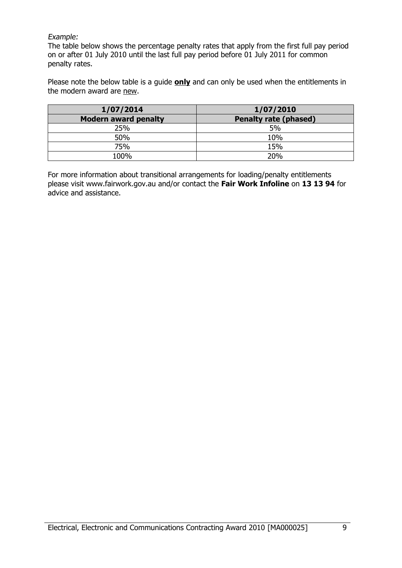#### Example:

The table below shows the percentage penalty rates that apply from the first full pay period on or after 01 July 2010 until the last full pay period before 01 July 2011 for common penalty rates.

Please note the below table is a guide **only** and can only be used when the entitlements in the modern award are new.

| 1/07/2014                   | 1/07/2010                    |
|-----------------------------|------------------------------|
| <b>Modern award penalty</b> | <b>Penalty rate (phased)</b> |
| 25%                         | 5%                           |
| 50%                         | 10%                          |
| 75%                         | 15%                          |
| 100%                        | 20%                          |

For more information about transitional arrangements for loading/penalty entitlements please visit www.fairwork.gov.au and/or contact the **Fair Work Infoline** on **13 13 94** for advice and assistance.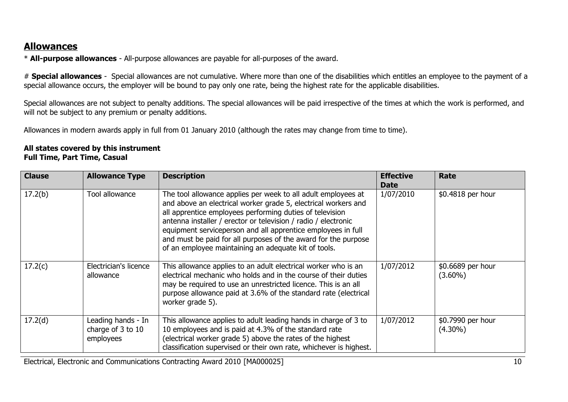## **Allowances**

\* **All-purpose allowances** - All-purpose allowances are payable for all-purposes of the award.

# **Special allowances** - Special allowances are not cumulative. Where more than one of the disabilities which entitles an employee to the payment of a special allowance occurs, the employer will be bound to pay only one rate, being the highest rate for the applicable disabilities.

Special allowances are not subject to penalty additions. The special allowances will be paid irrespective of the times at which the work is performed, and will not be subject to any premium or penalty additions.

Allowances in modern awards apply in full from 01 January 2010 (although the rates may change from time to time).

#### **All states covered by this instrument Full Time, Part Time, Casual**

| <b>Clause</b> | <b>Allowance Type</b>                                | <b>Description</b>                                                                                                                                                                                                                                                                                                                                                                                                                                      | <b>Effective</b><br><b>Date</b> | Rate                            |
|---------------|------------------------------------------------------|---------------------------------------------------------------------------------------------------------------------------------------------------------------------------------------------------------------------------------------------------------------------------------------------------------------------------------------------------------------------------------------------------------------------------------------------------------|---------------------------------|---------------------------------|
| 17.2(b)       | Tool allowance                                       | The tool allowance applies per week to all adult employees at<br>and above an electrical worker grade 5, electrical workers and<br>all apprentice employees performing duties of television<br>antenna installer / erector or television / radio / electronic<br>equipment serviceperson and all apprentice employees in full<br>and must be paid for all purposes of the award for the purpose<br>of an employee maintaining an adequate kit of tools. | 1/07/2010                       | \$0.4818 per hour               |
| 17.2(c)       | Electrician's licence<br>allowance                   | This allowance applies to an adult electrical worker who is an<br>electrical mechanic who holds and in the course of their duties<br>may be required to use an unrestricted licence. This is an all<br>purpose allowance paid at 3.6% of the standard rate (electrical<br>worker grade 5).                                                                                                                                                              | 1/07/2012                       | \$0.6689 per hour<br>$(3.60\%)$ |
| 17.2(d)       | Leading hands - In<br>charge of 3 to 10<br>employees | This allowance applies to adult leading hands in charge of 3 to<br>10 employees and is paid at 4.3% of the standard rate<br>(electrical worker grade 5) above the rates of the highest<br>classification supervised or their own rate, whichever is highest.                                                                                                                                                                                            | 1/07/2012                       | \$0.7990 per hour<br>$(4.30\%)$ |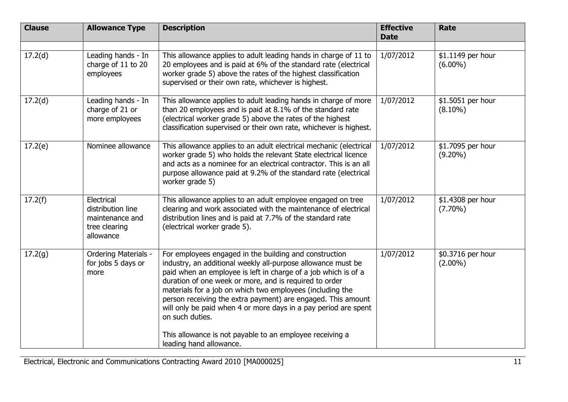| <b>Clause</b> | <b>Allowance Type</b>                                                            | <b>Description</b>                                                                                                                                                                                                                                                                                                                                                                                                                                                                                                                | <b>Effective</b><br><b>Date</b> | Rate                            |
|---------------|----------------------------------------------------------------------------------|-----------------------------------------------------------------------------------------------------------------------------------------------------------------------------------------------------------------------------------------------------------------------------------------------------------------------------------------------------------------------------------------------------------------------------------------------------------------------------------------------------------------------------------|---------------------------------|---------------------------------|
| 17.2(d)       | Leading hands - In<br>charge of 11 to 20<br>employees                            | This allowance applies to adult leading hands in charge of 11 to<br>20 employees and is paid at 6% of the standard rate (electrical<br>worker grade 5) above the rates of the highest classification<br>supervised or their own rate, whichever is highest.                                                                                                                                                                                                                                                                       | 1/07/2012                       | \$1.1149 per hour<br>$(6.00\%)$ |
| 17.2(d)       | Leading hands - In<br>charge of 21 or<br>more employees                          | This allowance applies to adult leading hands in charge of more<br>than 20 employees and is paid at 8.1% of the standard rate<br>(electrical worker grade 5) above the rates of the highest<br>classification supervised or their own rate, whichever is highest.                                                                                                                                                                                                                                                                 | 1/07/2012                       | \$1.5051 per hour<br>$(8.10\%)$ |
| 17.2(e)       | Nominee allowance                                                                | This allowance applies to an adult electrical mechanic (electrical<br>worker grade 5) who holds the relevant State electrical licence<br>and acts as a nominee for an electrical contractor. This is an all<br>purpose allowance paid at 9.2% of the standard rate (electrical<br>worker grade 5)                                                                                                                                                                                                                                 | 1/07/2012                       | \$1.7095 per hour<br>$(9.20\%)$ |
| 17.2(f)       | Electrical<br>distribution line<br>maintenance and<br>tree clearing<br>allowance | This allowance applies to an adult employee engaged on tree<br>clearing and work associated with the maintenance of electrical<br>distribution lines and is paid at 7.7% of the standard rate<br>(electrical worker grade 5).                                                                                                                                                                                                                                                                                                     | 1/07/2012                       | \$1.4308 per hour<br>$(7.70\%)$ |
| 17.2(g)       | <b>Ordering Materials -</b><br>for jobs 5 days or<br>more                        | For employees engaged in the building and construction<br>industry, an additional weekly all-purpose allowance must be<br>paid when an employee is left in charge of a job which is of a<br>duration of one week or more, and is required to order<br>materials for a job on which two employees (including the<br>person receiving the extra payment) are engaged. This amount<br>will only be paid when 4 or more days in a pay period are spent<br>on such duties.<br>This allowance is not payable to an employee receiving a | 1/07/2012                       | \$0.3716 per hour<br>$(2.00\%)$ |
|               |                                                                                  | leading hand allowance.                                                                                                                                                                                                                                                                                                                                                                                                                                                                                                           |                                 |                                 |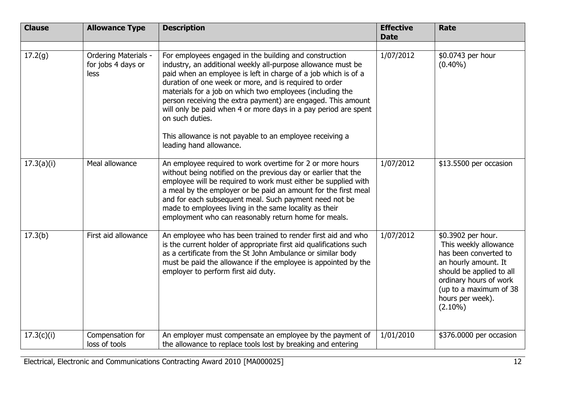| <b>Clause</b> | <b>Allowance Type</b>                              | <b>Description</b>                                                                                                                                                                                                                                                                                                                                                                                                                                                                                                                                           | <b>Effective</b><br><b>Date</b> | <b>Rate</b>                                                                                                                                                                                                    |
|---------------|----------------------------------------------------|--------------------------------------------------------------------------------------------------------------------------------------------------------------------------------------------------------------------------------------------------------------------------------------------------------------------------------------------------------------------------------------------------------------------------------------------------------------------------------------------------------------------------------------------------------------|---------------------------------|----------------------------------------------------------------------------------------------------------------------------------------------------------------------------------------------------------------|
|               |                                                    |                                                                                                                                                                                                                                                                                                                                                                                                                                                                                                                                                              |                                 |                                                                                                                                                                                                                |
| 17.2(g)       | Ordering Materials -<br>for jobs 4 days or<br>less | For employees engaged in the building and construction<br>industry, an additional weekly all-purpose allowance must be<br>paid when an employee is left in charge of a job which is of a<br>duration of one week or more, and is required to order<br>materials for a job on which two employees (including the<br>person receiving the extra payment) are engaged. This amount<br>will only be paid when 4 or more days in a pay period are spent<br>on such duties.<br>This allowance is not payable to an employee receiving a<br>leading hand allowance. | 1/07/2012                       | \$0.0743 per hour<br>$(0.40\%)$                                                                                                                                                                                |
| 17.3(a)(i)    | Meal allowance                                     | An employee required to work overtime for 2 or more hours<br>without being notified on the previous day or earlier that the<br>employee will be required to work must either be supplied with<br>a meal by the employer or be paid an amount for the first meal<br>and for each subsequent meal. Such payment need not be<br>made to employees living in the same locality as their<br>employment who can reasonably return home for meals.                                                                                                                  | 1/07/2012                       | \$13.5500 per occasion                                                                                                                                                                                         |
| 17.3(b)       | First aid allowance                                | An employee who has been trained to render first aid and who<br>is the current holder of appropriate first aid qualifications such<br>as a certificate from the St John Ambulance or similar body<br>must be paid the allowance if the employee is appointed by the<br>employer to perform first aid duty.                                                                                                                                                                                                                                                   | 1/07/2012                       | \$0.3902 per hour.<br>This weekly allowance<br>has been converted to<br>an hourly amount. It<br>should be applied to all<br>ordinary hours of work<br>(up to a maximum of 38<br>hours per week).<br>$(2.10\%)$ |
| 17.3(c)(i)    | Compensation for<br>loss of tools                  | An employer must compensate an employee by the payment of<br>the allowance to replace tools lost by breaking and entering                                                                                                                                                                                                                                                                                                                                                                                                                                    | 1/01/2010                       | \$376.0000 per occasion                                                                                                                                                                                        |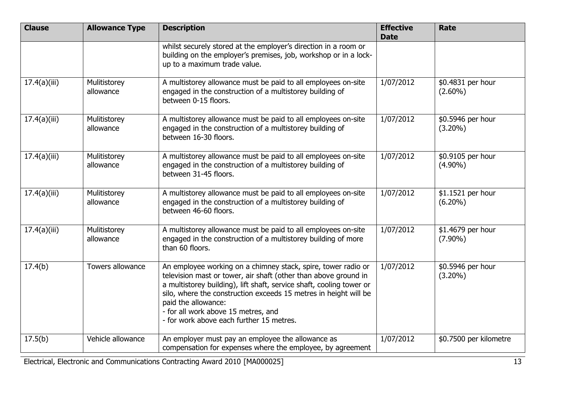| <b>Clause</b> | <b>Allowance Type</b>     | <b>Description</b>                                                                                                                                                                                                                                                                                                                                                                     | <b>Effective</b><br><b>Date</b> | <b>Rate</b>                     |
|---------------|---------------------------|----------------------------------------------------------------------------------------------------------------------------------------------------------------------------------------------------------------------------------------------------------------------------------------------------------------------------------------------------------------------------------------|---------------------------------|---------------------------------|
|               |                           | whilst securely stored at the employer's direction in a room or<br>building on the employer's premises, job, workshop or in a lock-<br>up to a maximum trade value.                                                                                                                                                                                                                    |                                 |                                 |
| 17.4(a)(iii)  | Mulitistorey<br>allowance | A multistorey allowance must be paid to all employees on-site<br>engaged in the construction of a multistorey building of<br>between 0-15 floors.                                                                                                                                                                                                                                      | 1/07/2012                       | \$0.4831 per hour<br>$(2.60\%)$ |
| 17.4(a)(iii)  | Mulitistorey<br>allowance | A multistorey allowance must be paid to all employees on-site<br>engaged in the construction of a multistorey building of<br>between 16-30 floors.                                                                                                                                                                                                                                     | 1/07/2012                       | \$0.5946 per hour<br>$(3.20\%)$ |
| 17.4(a)(iii)  | Mulitistorey<br>allowance | A multistorey allowance must be paid to all employees on-site<br>engaged in the construction of a multistorey building of<br>between 31-45 floors.                                                                                                                                                                                                                                     | 1/07/2012                       | \$0.9105 per hour<br>$(4.90\%)$ |
| 17.4(a)(iii)  | Mulitistorey<br>allowance | A multistorey allowance must be paid to all employees on-site<br>engaged in the construction of a multistorey building of<br>between 46-60 floors.                                                                                                                                                                                                                                     | 1/07/2012                       | \$1.1521 per hour<br>$(6.20\%)$ |
| 17.4(a)(iii)  | Mulitistorey<br>allowance | A multistorey allowance must be paid to all employees on-site<br>engaged in the construction of a multistorey building of more<br>than 60 floors.                                                                                                                                                                                                                                      | 1/07/2012                       | \$1.4679 per hour<br>$(7.90\%)$ |
| 17.4(b)       | Towers allowance          | An employee working on a chimney stack, spire, tower radio or<br>television mast or tower, air shaft (other than above ground in<br>a multistorey building), lift shaft, service shaft, cooling tower or<br>silo, where the construction exceeds 15 metres in height will be<br>paid the allowance:<br>- for all work above 15 metres, and<br>- for work above each further 15 metres. | 1/07/2012                       | \$0.5946 per hour<br>$(3.20\%)$ |
| 17.5(b)       | Vehicle allowance         | An employer must pay an employee the allowance as<br>compensation for expenses where the employee, by agreement                                                                                                                                                                                                                                                                        | 1/07/2012                       | \$0.7500 per kilometre          |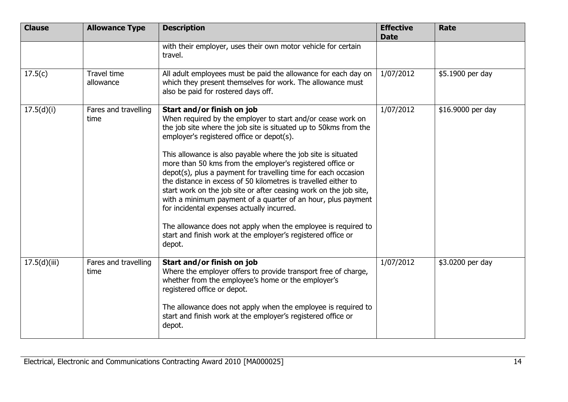| <b>Clause</b> | <b>Allowance Type</b>        | <b>Description</b>                                                                                                                                                                                                                                                                                                                                                                                                                                                                                                                                                                                                                                              | <b>Effective</b><br><b>Date</b> | <b>Rate</b>       |
|---------------|------------------------------|-----------------------------------------------------------------------------------------------------------------------------------------------------------------------------------------------------------------------------------------------------------------------------------------------------------------------------------------------------------------------------------------------------------------------------------------------------------------------------------------------------------------------------------------------------------------------------------------------------------------------------------------------------------------|---------------------------------|-------------------|
|               |                              | with their employer, uses their own motor vehicle for certain<br>travel.                                                                                                                                                                                                                                                                                                                                                                                                                                                                                                                                                                                        |                                 |                   |
| 17.5(c)       | Travel time<br>allowance     | All adult employees must be paid the allowance for each day on<br>which they present themselves for work. The allowance must<br>also be paid for rostered days off.                                                                                                                                                                                                                                                                                                                                                                                                                                                                                             | 1/07/2012                       | \$5.1900 per day  |
| 17.5(d)(i)    | Fares and travelling<br>time | Start and/or finish on job<br>When required by the employer to start and/or cease work on<br>the job site where the job site is situated up to 50kms from the<br>employer's registered office or depot(s).<br>This allowance is also payable where the job site is situated<br>more than 50 kms from the employer's registered office or<br>depot(s), plus a payment for travelling time for each occasion<br>the distance in excess of 50 kilometres is travelled either to<br>start work on the job site or after ceasing work on the job site,<br>with a minimum payment of a quarter of an hour, plus payment<br>for incidental expenses actually incurred. | 1/07/2012                       | \$16.9000 per day |
|               |                              | The allowance does not apply when the employee is required to<br>start and finish work at the employer's registered office or<br>depot.                                                                                                                                                                                                                                                                                                                                                                                                                                                                                                                         |                                 |                   |
| 17.5(d)(iii)  | Fares and travelling<br>time | Start and/or finish on job<br>Where the employer offers to provide transport free of charge,<br>whether from the employee's home or the employer's<br>registered office or depot.                                                                                                                                                                                                                                                                                                                                                                                                                                                                               | 1/07/2012                       | \$3.0200 per day  |
|               |                              | The allowance does not apply when the employee is required to<br>start and finish work at the employer's registered office or<br>depot.                                                                                                                                                                                                                                                                                                                                                                                                                                                                                                                         |                                 |                   |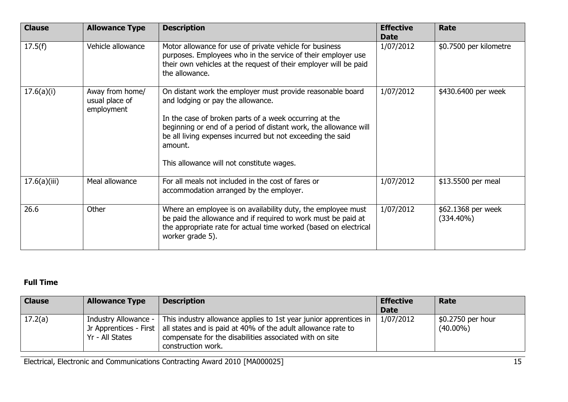| <b>Clause</b> | <b>Allowance Type</b>                           | <b>Description</b>                                                                                                                                                                                                                                                                                                                                  | <b>Effective</b><br><b>Date</b> | Rate                               |
|---------------|-------------------------------------------------|-----------------------------------------------------------------------------------------------------------------------------------------------------------------------------------------------------------------------------------------------------------------------------------------------------------------------------------------------------|---------------------------------|------------------------------------|
| 17.5(f)       | Vehicle allowance                               | Motor allowance for use of private vehicle for business<br>purposes. Employees who in the service of their employer use<br>their own vehicles at the request of their employer will be paid<br>the allowance.                                                                                                                                       | 1/07/2012                       | \$0.7500 per kilometre             |
| 17.6(a)(i)    | Away from home/<br>usual place of<br>employment | On distant work the employer must provide reasonable board<br>and lodging or pay the allowance.<br>In the case of broken parts of a week occurring at the<br>beginning or end of a period of distant work, the allowance will<br>be all living expenses incurred but not exceeding the said<br>amount.<br>This allowance will not constitute wages. | 1/07/2012                       | \$430.6400 per week                |
| 17.6(a)(iii)  | Meal allowance                                  | For all meals not included in the cost of fares or<br>accommodation arranged by the employer.                                                                                                                                                                                                                                                       | 1/07/2012                       | \$13.5500 per meal                 |
| 26.6          | Other                                           | Where an employee is on availability duty, the employee must<br>be paid the allowance and if required to work must be paid at<br>the appropriate rate for actual time worked (based on electrical<br>worker grade 5).                                                                                                                               | 1/07/2012                       | \$62.1368 per week<br>$(334.40\%)$ |

### **Full Time**

| <b>Clause</b> | <b>Allowance Type</b> | <b>Description</b>                                                                                                                                                                                                                                                 | <b>Effective</b><br><b>Date</b> | Rate                             |
|---------------|-----------------------|--------------------------------------------------------------------------------------------------------------------------------------------------------------------------------------------------------------------------------------------------------------------|---------------------------------|----------------------------------|
| 17.2(a)       | Yr - All States       | Industry Allowance -   This industry allowance applies to 1st year junior apprentices in<br>Jr Apprentices - First   all states and is paid at 40% of the adult allowance rate to<br>compensate for the disabilities associated with on site<br>construction work. | 1/07/2012                       | \$0.2750 per hour<br>$(40.00\%)$ |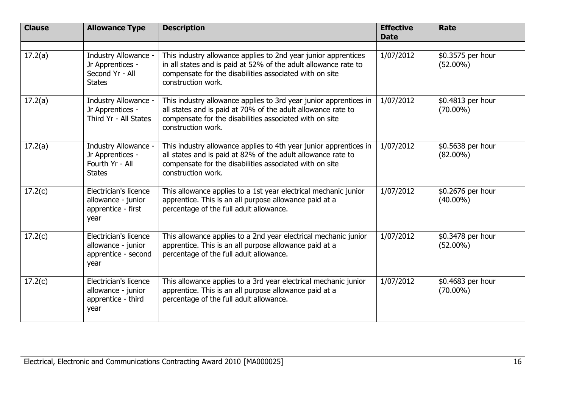| <b>Clause</b> | <b>Allowance Type</b>                                                        | <b>Description</b>                                                                                                                                                                                                 | <b>Effective</b><br><b>Date</b> | Rate                             |
|---------------|------------------------------------------------------------------------------|--------------------------------------------------------------------------------------------------------------------------------------------------------------------------------------------------------------------|---------------------------------|----------------------------------|
| 17.2(a)       | Industry Allowance -<br>Jr Apprentices -<br>Second Yr - All<br><b>States</b> | This industry allowance applies to 2nd year junior apprentices<br>in all states and is paid at 52% of the adult allowance rate to<br>compensate for the disabilities associated with on site<br>construction work. | 1/07/2012                       | \$0.3575 per hour<br>$(52.00\%)$ |
| 17.2(a)       | Industry Allowance -<br>Jr Apprentices -<br>Third Yr - All States            | This industry allowance applies to 3rd year junior apprentices in<br>all states and is paid at 70% of the adult allowance rate to<br>compensate for the disabilities associated with on site<br>construction work. | 1/07/2012                       | \$0.4813 per hour<br>$(70.00\%)$ |
| 17.2(a)       | Industry Allowance -<br>Jr Apprentices -<br>Fourth Yr - All<br><b>States</b> | This industry allowance applies to 4th year junior apprentices in<br>all states and is paid at 82% of the adult allowance rate to<br>compensate for the disabilities associated with on site<br>construction work. | 1/07/2012                       | \$0.5638 per hour<br>$(82.00\%)$ |
| 17.2(c)       | Electrician's licence<br>allowance - junior<br>apprentice - first<br>year    | This allowance applies to a 1st year electrical mechanic junior<br>apprentice. This is an all purpose allowance paid at a<br>percentage of the full adult allowance.                                               | 1/07/2012                       | \$0.2676 per hour<br>$(40.00\%)$ |
| 17.2(c)       | Electrician's licence<br>allowance - junior<br>apprentice - second<br>year   | This allowance applies to a 2nd year electrical mechanic junior<br>apprentice. This is an all purpose allowance paid at a<br>percentage of the full adult allowance.                                               | 1/07/2012                       | \$0.3478 per hour<br>$(52.00\%)$ |
| 17.2(c)       | Electrician's licence<br>allowance - junior<br>apprentice - third<br>year    | This allowance applies to a 3rd year electrical mechanic junior<br>apprentice. This is an all purpose allowance paid at a<br>percentage of the full adult allowance.                                               | 1/07/2012                       | \$0.4683 per hour<br>$(70.00\%)$ |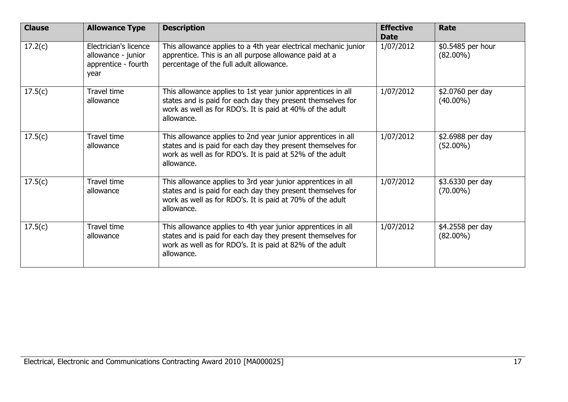| <b>Clause</b> | <b>Allowance Type</b>                                                      | <b>Description</b>                                                                                                                                                                                     | <b>Effective</b><br><b>Date</b> | Rate                             |
|---------------|----------------------------------------------------------------------------|--------------------------------------------------------------------------------------------------------------------------------------------------------------------------------------------------------|---------------------------------|----------------------------------|
| 17.2(c)       | Electrician's licence<br>allowance - junior<br>apprentice - fourth<br>year | This allowance applies to a 4th year electrical mechanic junior<br>apprentice. This is an all purpose allowance paid at a<br>percentage of the full adult allowance.                                   | 1/07/2012                       | \$0.5485 per hour<br>$(82.00\%)$ |
| 17.5(c)       | Travel time<br>allowance                                                   | This allowance applies to 1st year junior apprentices in all<br>states and is paid for each day they present themselves for<br>work as well as for RDO's. It is paid at 40% of the adult<br>allowance. | 1/07/2012                       | \$2.0760 per day<br>$(40.00\%)$  |
| 17.5(c)       | Travel time<br>allowance                                                   | This allowance applies to 2nd year junior apprentices in all<br>states and is paid for each day they present themselves for<br>work as well as for RDO's. It is paid at 52% of the adult<br>allowance. | 1/07/2012                       | \$2.6988 per day<br>$(52.00\%)$  |
| 17.5(c)       | Travel time<br>allowance                                                   | This allowance applies to 3rd year junior apprentices in all<br>states and is paid for each day they present themselves for<br>work as well as for RDO's. It is paid at 70% of the adult<br>allowance. | 1/07/2012                       | \$3.6330 per day<br>$(70.00\%)$  |
| 17.5(c)       | <b>Travel time</b><br>allowance                                            | This allowance applies to 4th year junior apprentices in all<br>states and is paid for each day they present themselves for<br>work as well as for RDO's. It is paid at 82% of the adult<br>allowance. | 1/07/2012                       | \$4.2558 per day<br>$(82.00\%)$  |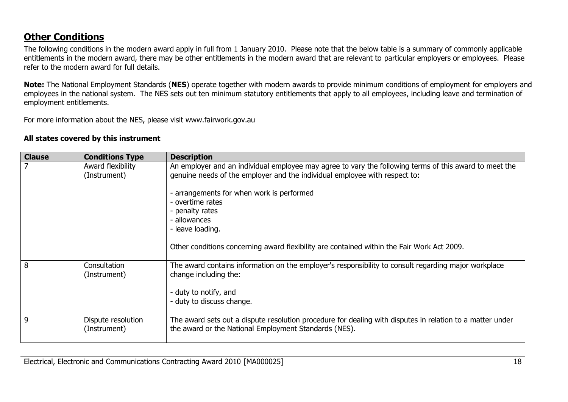## **Other Conditions**

The following conditions in the modern award apply in full from 1 January 2010. Please note that the below table is a summary of commonly applicable entitlements in the modern award, there may be other entitlements in the modern award that are relevant to particular employers or employees. Please refer to the modern award for full details.

**Note:** The National Employment Standards (**NES**) operate together with modern awards to provide minimum conditions of employment for employers and employees in the national system. The NES sets out ten minimum statutory entitlements that apply to all employees, including leave and termination of employment entitlements.

For more information about the NES, please visit www.fairwork.gov.au

#### **All states covered by this instrument**

| <b>Clause</b> | <b>Conditions Type</b>             | <b>Description</b>                                                                                                                                                                                                                                                                                                                                                                                         |
|---------------|------------------------------------|------------------------------------------------------------------------------------------------------------------------------------------------------------------------------------------------------------------------------------------------------------------------------------------------------------------------------------------------------------------------------------------------------------|
|               | Award flexibility<br>(Instrument)  | An employer and an individual employee may agree to vary the following terms of this award to meet the<br>genuine needs of the employer and the individual employee with respect to:<br>- arrangements for when work is performed<br>- overtime rates<br>- penalty rates<br>- allowances<br>- leave loading.<br>Other conditions concerning award flexibility are contained within the Fair Work Act 2009. |
| 8             | Consultation<br>(Instrument)       | The award contains information on the employer's responsibility to consult regarding major workplace<br>change including the:<br>- duty to notify, and<br>- duty to discuss change.                                                                                                                                                                                                                        |
| 9             | Dispute resolution<br>(Instrument) | The award sets out a dispute resolution procedure for dealing with disputes in relation to a matter under<br>the award or the National Employment Standards (NES).                                                                                                                                                                                                                                         |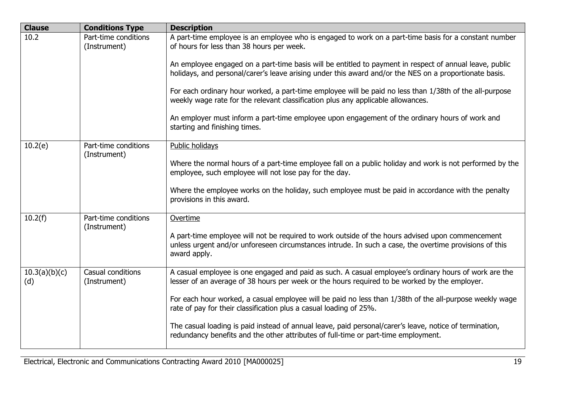| <b>Clause</b>        | <b>Conditions Type</b>               | <b>Description</b>                                                                                                                                                                                                         |
|----------------------|--------------------------------------|----------------------------------------------------------------------------------------------------------------------------------------------------------------------------------------------------------------------------|
| 10.2                 | Part-time conditions<br>(Instrument) | A part-time employee is an employee who is engaged to work on a part-time basis for a constant number<br>of hours for less than 38 hours per week.                                                                         |
|                      |                                      | An employee engaged on a part-time basis will be entitled to payment in respect of annual leave, public<br>holidays, and personal/carer's leave arising under this award and/or the NES on a proportionate basis.          |
|                      |                                      | For each ordinary hour worked, a part-time employee will be paid no less than 1/38th of the all-purpose<br>weekly wage rate for the relevant classification plus any applicable allowances.                                |
|                      |                                      | An employer must inform a part-time employee upon engagement of the ordinary hours of work and<br>starting and finishing times.                                                                                            |
| 10.2(e)              | Part-time conditions                 | Public holidays                                                                                                                                                                                                            |
|                      | (Instrument)                         | Where the normal hours of a part-time employee fall on a public holiday and work is not performed by the<br>employee, such employee will not lose pay for the day.                                                         |
|                      |                                      | Where the employee works on the holiday, such employee must be paid in accordance with the penalty<br>provisions in this award.                                                                                            |
| 10.2(f)              | Part-time conditions<br>(Instrument) | Overtime                                                                                                                                                                                                                   |
|                      |                                      | A part-time employee will not be required to work outside of the hours advised upon commencement<br>unless urgent and/or unforeseen circumstances intrude. In such a case, the overtime provisions of this<br>award apply. |
| 10.3(a)(b)(c)<br>(d) | Casual conditions<br>(Instrument)    | A casual employee is one engaged and paid as such. A casual employee's ordinary hours of work are the<br>lesser of an average of 38 hours per week or the hours required to be worked by the employer.                     |
|                      |                                      | For each hour worked, a casual employee will be paid no less than 1/38th of the all-purpose weekly wage<br>rate of pay for their classification plus a casual loading of 25%.                                              |
|                      |                                      | The casual loading is paid instead of annual leave, paid personal/carer's leave, notice of termination,<br>redundancy benefits and the other attributes of full-time or part-time employment.                              |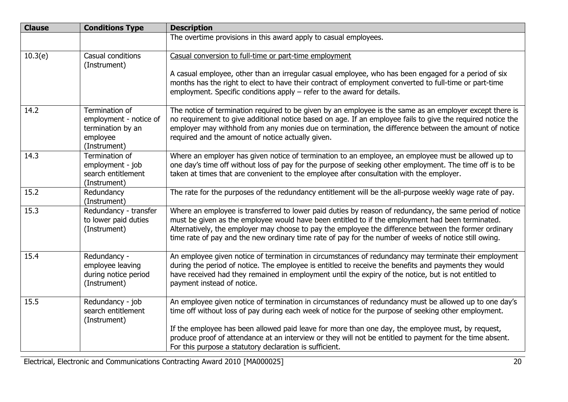| <b>Clause</b> | <b>Conditions Type</b>                                                                    | <b>Description</b>                                                                                                                                                                                                                                                                                                                                                                                                             |
|---------------|-------------------------------------------------------------------------------------------|--------------------------------------------------------------------------------------------------------------------------------------------------------------------------------------------------------------------------------------------------------------------------------------------------------------------------------------------------------------------------------------------------------------------------------|
|               |                                                                                           | The overtime provisions in this award apply to casual employees.                                                                                                                                                                                                                                                                                                                                                               |
| 10.3(e)       | Casual conditions<br>(Instrument)                                                         | Casual conversion to full-time or part-time employment                                                                                                                                                                                                                                                                                                                                                                         |
|               |                                                                                           | A casual employee, other than an irregular casual employee, who has been engaged for a period of six<br>months has the right to elect to have their contract of employment converted to full-time or part-time<br>employment. Specific conditions apply $-$ refer to the award for details.                                                                                                                                    |
| 14.2          | Termination of<br>employment - notice of<br>termination by an<br>employee<br>(Instrument) | The notice of termination required to be given by an employee is the same as an employer except there is<br>no requirement to give additional notice based on age. If an employee fails to give the required notice the<br>employer may withhold from any monies due on termination, the difference between the amount of notice<br>required and the amount of notice actually given.                                          |
| 14.3          | Termination of<br>employment - job<br>search entitlement<br>(Instrument)                  | Where an employer has given notice of termination to an employee, an employee must be allowed up to<br>one day's time off without loss of pay for the purpose of seeking other employment. The time off is to be<br>taken at times that are convenient to the employee after consultation with the employer.                                                                                                                   |
| 15.2          | Redundancy<br>(Instrument)                                                                | The rate for the purposes of the redundancy entitlement will be the all-purpose weekly wage rate of pay.                                                                                                                                                                                                                                                                                                                       |
| 15.3          | Redundancy - transfer<br>to lower paid duties<br>(Instrument)                             | Where an employee is transferred to lower paid duties by reason of redundancy, the same period of notice<br>must be given as the employee would have been entitled to if the employment had been terminated.<br>Alternatively, the employer may choose to pay the employee the difference between the former ordinary<br>time rate of pay and the new ordinary time rate of pay for the number of weeks of notice still owing. |
| 15.4          | Redundancy -<br>employee leaving<br>during notice period<br>(Instrument)                  | An employee given notice of termination in circumstances of redundancy may terminate their employment<br>during the period of notice. The employee is entitled to receive the benefits and payments they would<br>have received had they remained in employment until the expiry of the notice, but is not entitled to<br>payment instead of notice.                                                                           |
| 15.5          | Redundancy - job<br>search entitlement<br>(Instrument)                                    | An employee given notice of termination in circumstances of redundancy must be allowed up to one day's<br>time off without loss of pay during each week of notice for the purpose of seeking other employment.                                                                                                                                                                                                                 |
|               |                                                                                           | If the employee has been allowed paid leave for more than one day, the employee must, by request,<br>produce proof of attendance at an interview or they will not be entitled to payment for the time absent.<br>For this purpose a statutory declaration is sufficient.                                                                                                                                                       |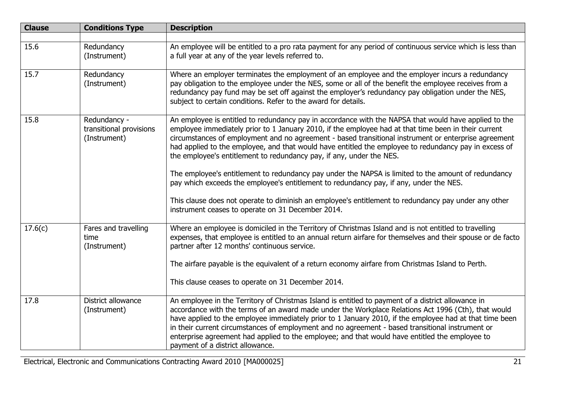| <b>Clause</b> | <b>Conditions Type</b>                                  | <b>Description</b>                                                                                                                                                                                                                                                                                                                                                                                                                                                                                                                                                                                                                                                                                                                                                                                                                                                   |
|---------------|---------------------------------------------------------|----------------------------------------------------------------------------------------------------------------------------------------------------------------------------------------------------------------------------------------------------------------------------------------------------------------------------------------------------------------------------------------------------------------------------------------------------------------------------------------------------------------------------------------------------------------------------------------------------------------------------------------------------------------------------------------------------------------------------------------------------------------------------------------------------------------------------------------------------------------------|
|               |                                                         |                                                                                                                                                                                                                                                                                                                                                                                                                                                                                                                                                                                                                                                                                                                                                                                                                                                                      |
| 15.6          | Redundancy<br>(Instrument)                              | An employee will be entitled to a pro rata payment for any period of continuous service which is less than<br>a full year at any of the year levels referred to.                                                                                                                                                                                                                                                                                                                                                                                                                                                                                                                                                                                                                                                                                                     |
| 15.7          | Redundancy<br>(Instrument)                              | Where an employer terminates the employment of an employee and the employer incurs a redundancy<br>pay obligation to the employee under the NES, some or all of the benefit the employee receives from a<br>redundancy pay fund may be set off against the employer's redundancy pay obligation under the NES,<br>subject to certain conditions. Refer to the award for details.                                                                                                                                                                                                                                                                                                                                                                                                                                                                                     |
| 15.8          | Redundancy -<br>transitional provisions<br>(Instrument) | An employee is entitled to redundancy pay in accordance with the NAPSA that would have applied to the<br>employee immediately prior to 1 January 2010, if the employee had at that time been in their current<br>circumstances of employment and no agreement - based transitional instrument or enterprise agreement<br>had applied to the employee, and that would have entitled the employee to redundancy pay in excess of<br>the employee's entitlement to redundancy pay, if any, under the NES.<br>The employee's entitlement to redundancy pay under the NAPSA is limited to the amount of redundancy<br>pay which exceeds the employee's entitlement to redundancy pay, if any, under the NES.<br>This clause does not operate to diminish an employee's entitlement to redundancy pay under any other<br>instrument ceases to operate on 31 December 2014. |
|               |                                                         |                                                                                                                                                                                                                                                                                                                                                                                                                                                                                                                                                                                                                                                                                                                                                                                                                                                                      |
| 17.6(c)       | Fares and travelling<br>time<br>(Instrument)            | Where an employee is domiciled in the Territory of Christmas Island and is not entitled to travelling<br>expenses, that employee is entitled to an annual return airfare for themselves and their spouse or de facto<br>partner after 12 months' continuous service.<br>The airfare payable is the equivalent of a return economy airfare from Christmas Island to Perth.                                                                                                                                                                                                                                                                                                                                                                                                                                                                                            |
|               |                                                         | This clause ceases to operate on 31 December 2014.                                                                                                                                                                                                                                                                                                                                                                                                                                                                                                                                                                                                                                                                                                                                                                                                                   |
| 17.8          | District allowance<br>(Instrument)                      | An employee in the Territory of Christmas Island is entitled to payment of a district allowance in<br>accordance with the terms of an award made under the Workplace Relations Act 1996 (Cth), that would<br>have applied to the employee immediately prior to 1 January 2010, if the employee had at that time been<br>in their current circumstances of employment and no agreement - based transitional instrument or<br>enterprise agreement had applied to the employee; and that would have entitled the employee to<br>payment of a district allowance.                                                                                                                                                                                                                                                                                                       |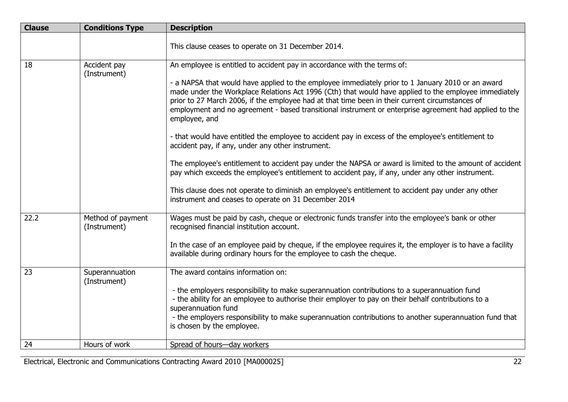| <b>Clause</b> | <b>Conditions Type</b>            | <b>Description</b>                                                                                                                                                                                                                                                                                                                                                                                                                       |
|---------------|-----------------------------------|------------------------------------------------------------------------------------------------------------------------------------------------------------------------------------------------------------------------------------------------------------------------------------------------------------------------------------------------------------------------------------------------------------------------------------------|
|               |                                   | This clause ceases to operate on 31 December 2014.                                                                                                                                                                                                                                                                                                                                                                                       |
| 18            | Accident pay                      | An employee is entitled to accident pay in accordance with the terms of:                                                                                                                                                                                                                                                                                                                                                                 |
|               | (Instrument)                      | - a NAPSA that would have applied to the employee immediately prior to 1 January 2010 or an award<br>made under the Workplace Relations Act 1996 (Cth) that would have applied to the employee immediately<br>prior to 27 March 2006, if the employee had at that time been in their current circumstances of<br>employment and no agreement - based transitional instrument or enterprise agreement had applied to the<br>employee, and |
|               |                                   | - that would have entitled the employee to accident pay in excess of the employee's entitlement to<br>accident pay, if any, under any other instrument.                                                                                                                                                                                                                                                                                  |
|               |                                   | The employee's entitlement to accident pay under the NAPSA or award is limited to the amount of accident<br>pay which exceeds the employee's entitlement to accident pay, if any, under any other instrument.                                                                                                                                                                                                                            |
|               |                                   | This clause does not operate to diminish an employee's entitlement to accident pay under any other<br>instrument and ceases to operate on 31 December 2014                                                                                                                                                                                                                                                                               |
| 22.2          | Method of payment<br>(Instrument) | Wages must be paid by cash, cheque or electronic funds transfer into the employee's bank or other<br>recognised financial institution account.                                                                                                                                                                                                                                                                                           |
|               |                                   | In the case of an employee paid by cheque, if the employee requires it, the employer is to have a facility<br>available during ordinary hours for the employee to cash the cheque.                                                                                                                                                                                                                                                       |
| 23            | Superannuation<br>(Instrument)    | The award contains information on:                                                                                                                                                                                                                                                                                                                                                                                                       |
|               |                                   | - the employers responsibility to make superannuation contributions to a superannuation fund<br>- the ability for an employee to authorise their employer to pay on their behalf contributions to a<br>superannuation fund<br>- the employers responsibility to make superannuation contributions to another superannuation fund that                                                                                                    |
|               |                                   | is chosen by the employee.                                                                                                                                                                                                                                                                                                                                                                                                               |
| 24            | Hours of work                     | Spread of hours-day workers                                                                                                                                                                                                                                                                                                                                                                                                              |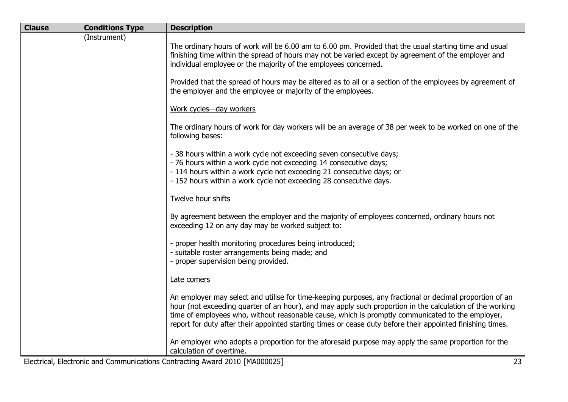| <b>Clause</b> | <b>Conditions Type</b> | <b>Description</b>                                                                                                                                                                                                                                                                                                                                                                                                                     |
|---------------|------------------------|----------------------------------------------------------------------------------------------------------------------------------------------------------------------------------------------------------------------------------------------------------------------------------------------------------------------------------------------------------------------------------------------------------------------------------------|
|               | (Instrument)           | The ordinary hours of work will be 6.00 am to 6.00 pm. Provided that the usual starting time and usual<br>finishing time within the spread of hours may not be varied except by agreement of the employer and<br>individual employee or the majority of the employees concerned.                                                                                                                                                       |
|               |                        | Provided that the spread of hours may be altered as to all or a section of the employees by agreement of<br>the employer and the employee or majority of the employees.                                                                                                                                                                                                                                                                |
|               |                        | Work cycles-day workers                                                                                                                                                                                                                                                                                                                                                                                                                |
|               |                        | The ordinary hours of work for day workers will be an average of 38 per week to be worked on one of the<br>following bases:                                                                                                                                                                                                                                                                                                            |
|               |                        | - 38 hours within a work cycle not exceeding seven consecutive days;<br>- 76 hours within a work cycle not exceeding 14 consecutive days;<br>- 114 hours within a work cycle not exceeding 21 consecutive days; or<br>- 152 hours within a work cycle not exceeding 28 consecutive days.                                                                                                                                               |
|               |                        | Twelve hour shifts                                                                                                                                                                                                                                                                                                                                                                                                                     |
|               |                        | By agreement between the employer and the majority of employees concerned, ordinary hours not<br>exceeding 12 on any day may be worked subject to:                                                                                                                                                                                                                                                                                     |
|               |                        | - proper health monitoring procedures being introduced;<br>- suitable roster arrangements being made; and<br>- proper supervision being provided.                                                                                                                                                                                                                                                                                      |
|               |                        | Late comers                                                                                                                                                                                                                                                                                                                                                                                                                            |
|               |                        | An employer may select and utilise for time-keeping purposes, any fractional or decimal proportion of an<br>hour (not exceeding quarter of an hour), and may apply such proportion in the calculation of the working<br>time of employees who, without reasonable cause, which is promptly communicated to the employer,<br>report for duty after their appointed starting times or cease duty before their appointed finishing times. |
|               |                        | An employer who adopts a proportion for the aforesaid purpose may apply the same proportion for the<br>calculation of overtime.                                                                                                                                                                                                                                                                                                        |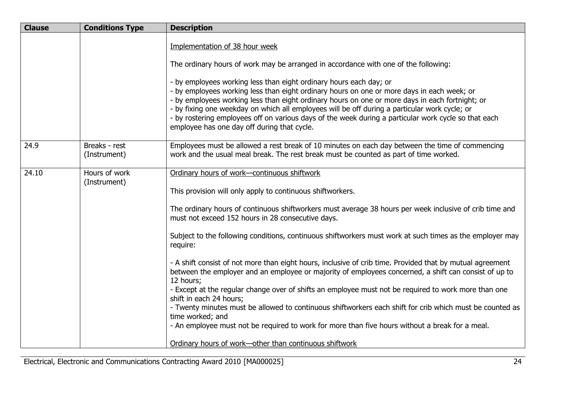| <b>Clause</b> | <b>Conditions Type</b>        | <b>Description</b>                                                                                                                                                                                                                                                                                                                                                                                                                                                                                                          |
|---------------|-------------------------------|-----------------------------------------------------------------------------------------------------------------------------------------------------------------------------------------------------------------------------------------------------------------------------------------------------------------------------------------------------------------------------------------------------------------------------------------------------------------------------------------------------------------------------|
|               |                               | Implementation of 38 hour week                                                                                                                                                                                                                                                                                                                                                                                                                                                                                              |
|               |                               | The ordinary hours of work may be arranged in accordance with one of the following:                                                                                                                                                                                                                                                                                                                                                                                                                                         |
|               |                               | - by employees working less than eight ordinary hours each day; or<br>- by employees working less than eight ordinary hours on one or more days in each week; or<br>- by employees working less than eight ordinary hours on one or more days in each fortnight; or<br>- by fixing one weekday on which all employees will be off during a particular work cycle; or<br>- by rostering employees off on various days of the week during a particular work cycle so that each<br>employee has one day off during that cycle. |
| 24.9          | Breaks - rest<br>(Instrument) | Employees must be allowed a rest break of 10 minutes on each day between the time of commencing<br>work and the usual meal break. The rest break must be counted as part of time worked.                                                                                                                                                                                                                                                                                                                                    |
| 24.10         | Hours of work<br>(Instrument) | Ordinary hours of work-continuous shiftwork                                                                                                                                                                                                                                                                                                                                                                                                                                                                                 |
|               |                               | This provision will only apply to continuous shiftworkers.                                                                                                                                                                                                                                                                                                                                                                                                                                                                  |
|               |                               | The ordinary hours of continuous shiftworkers must average 38 hours per week inclusive of crib time and<br>must not exceed 152 hours in 28 consecutive days.                                                                                                                                                                                                                                                                                                                                                                |
|               |                               | Subject to the following conditions, continuous shiftworkers must work at such times as the employer may<br>require:                                                                                                                                                                                                                                                                                                                                                                                                        |
|               |                               | - A shift consist of not more than eight hours, inclusive of crib time. Provided that by mutual agreement<br>between the employer and an employee or majority of employees concerned, a shift can consist of up to<br>12 hours;                                                                                                                                                                                                                                                                                             |
|               |                               | - Except at the regular change over of shifts an employee must not be required to work more than one<br>shift in each 24 hours;                                                                                                                                                                                                                                                                                                                                                                                             |
|               |                               | - Twenty minutes must be allowed to continuous shiftworkers each shift for crib which must be counted as<br>time worked; and                                                                                                                                                                                                                                                                                                                                                                                                |
|               |                               | - An employee must not be required to work for more than five hours without a break for a meal.                                                                                                                                                                                                                                                                                                                                                                                                                             |
|               |                               | Ordinary hours of work-other than continuous shiftwork                                                                                                                                                                                                                                                                                                                                                                                                                                                                      |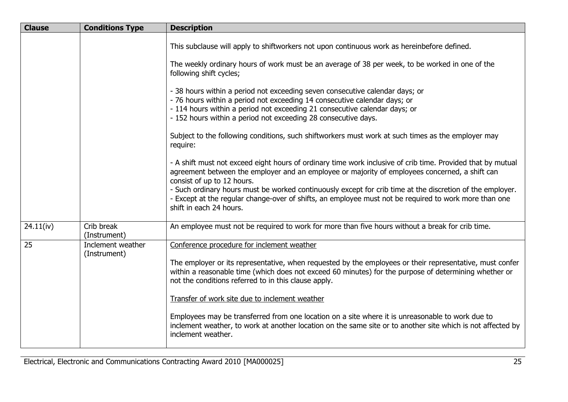| <b>Clause</b> | <b>Conditions Type</b>            | <b>Description</b>                                                                                                                                                                                                                                                                                                                                                                                                                                                                           |
|---------------|-----------------------------------|----------------------------------------------------------------------------------------------------------------------------------------------------------------------------------------------------------------------------------------------------------------------------------------------------------------------------------------------------------------------------------------------------------------------------------------------------------------------------------------------|
|               |                                   | This subclause will apply to shiftworkers not upon continuous work as hereinbefore defined.<br>The weekly ordinary hours of work must be an average of 38 per week, to be worked in one of the                                                                                                                                                                                                                                                                                               |
|               |                                   | following shift cycles;                                                                                                                                                                                                                                                                                                                                                                                                                                                                      |
|               |                                   | - 38 hours within a period not exceeding seven consecutive calendar days; or<br>- 76 hours within a period not exceeding 14 consecutive calendar days; or<br>- 114 hours within a period not exceeding 21 consecutive calendar days; or<br>- 152 hours within a period not exceeding 28 consecutive days.                                                                                                                                                                                    |
|               |                                   | Subject to the following conditions, such shiftworkers must work at such times as the employer may<br>require:                                                                                                                                                                                                                                                                                                                                                                               |
|               |                                   | - A shift must not exceed eight hours of ordinary time work inclusive of crib time. Provided that by mutual<br>agreement between the employer and an employee or majority of employees concerned, a shift can<br>consist of up to 12 hours.<br>- Such ordinary hours must be worked continuously except for crib time at the discretion of the employer.<br>- Except at the regular change-over of shifts, an employee must not be required to work more than one<br>shift in each 24 hours. |
|               |                                   |                                                                                                                                                                                                                                                                                                                                                                                                                                                                                              |
| 24.11(iv)     | Crib break<br>(Instrument)        | An employee must not be required to work for more than five hours without a break for crib time.                                                                                                                                                                                                                                                                                                                                                                                             |
| 25            | Inclement weather<br>(Instrument) | Conference procedure for inclement weather                                                                                                                                                                                                                                                                                                                                                                                                                                                   |
|               |                                   | The employer or its representative, when requested by the employees or their representative, must confer<br>within a reasonable time (which does not exceed 60 minutes) for the purpose of determining whether or<br>not the conditions referred to in this clause apply.                                                                                                                                                                                                                    |
|               |                                   | Transfer of work site due to inclement weather                                                                                                                                                                                                                                                                                                                                                                                                                                               |
|               |                                   | Employees may be transferred from one location on a site where it is unreasonable to work due to<br>inclement weather, to work at another location on the same site or to another site which is not affected by<br>inclement weather.                                                                                                                                                                                                                                                        |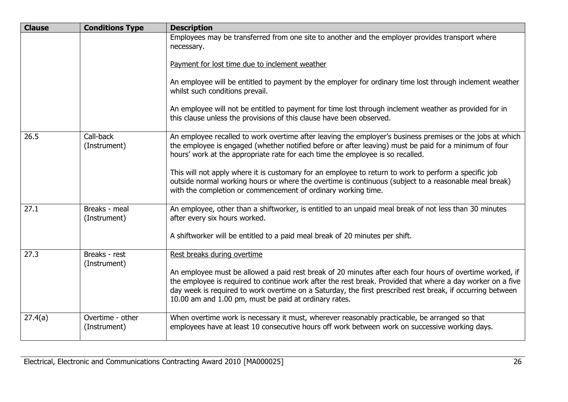| <b>Clause</b> | <b>Conditions Type</b>           | <b>Description</b>                                                                                                                                                                                                                                                                                                                                                                            |
|---------------|----------------------------------|-----------------------------------------------------------------------------------------------------------------------------------------------------------------------------------------------------------------------------------------------------------------------------------------------------------------------------------------------------------------------------------------------|
|               |                                  | Employees may be transferred from one site to another and the employer provides transport where<br>necessary.                                                                                                                                                                                                                                                                                 |
|               |                                  | Payment for lost time due to inclement weather                                                                                                                                                                                                                                                                                                                                                |
|               |                                  | An employee will be entitled to payment by the employer for ordinary time lost through inclement weather<br>whilst such conditions prevail.                                                                                                                                                                                                                                                   |
|               |                                  | An employee will not be entitled to payment for time lost through inclement weather as provided for in<br>this clause unless the provisions of this clause have been observed.                                                                                                                                                                                                                |
| 26.5          | Call-back<br>(Instrument)        | An employee recalled to work overtime after leaving the employer's business premises or the jobs at which<br>the employee is engaged (whether notified before or after leaving) must be paid for a minimum of four<br>hours' work at the appropriate rate for each time the employee is so recalled.                                                                                          |
|               |                                  | This will not apply where it is customary for an employee to return to work to perform a specific job<br>outside normal working hours or where the overtime is continuous (subject to a reasonable meal break)<br>with the completion or commencement of ordinary working time.                                                                                                               |
| 27.1          | Breaks - meal<br>(Instrument)    | An employee, other than a shiftworker, is entitled to an unpaid meal break of not less than 30 minutes<br>after every six hours worked.                                                                                                                                                                                                                                                       |
|               |                                  | A shiftworker will be entitled to a paid meal break of 20 minutes per shift.                                                                                                                                                                                                                                                                                                                  |
| 27.3          | Breaks - rest<br>(Instrument)    | Rest breaks during overtime                                                                                                                                                                                                                                                                                                                                                                   |
|               |                                  | An employee must be allowed a paid rest break of 20 minutes after each four hours of overtime worked, if<br>the employee is required to continue work after the rest break. Provided that where a day worker on a five<br>day week is required to work overtime on a Saturday, the first prescribed rest break, if occurring between<br>10.00 am and 1.00 pm, must be paid at ordinary rates. |
| 27.4(a)       | Overtime - other<br>(Instrument) | When overtime work is necessary it must, wherever reasonably practicable, be arranged so that<br>employees have at least 10 consecutive hours off work between work on successive working days.                                                                                                                                                                                               |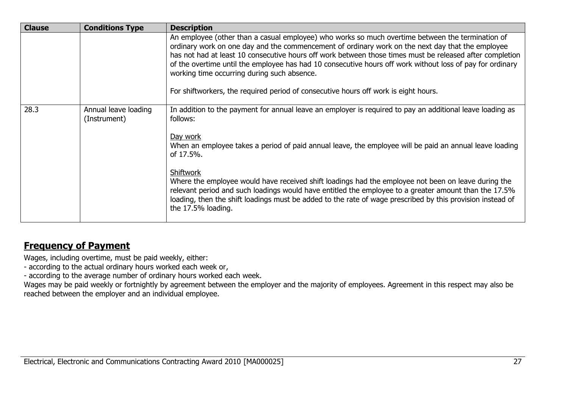| <b>Clause</b> | <b>Conditions Type</b> | <b>Description</b>                                                                                                                                                                                                                                                                                                                                                                                                                                                                                                                                                  |
|---------------|------------------------|---------------------------------------------------------------------------------------------------------------------------------------------------------------------------------------------------------------------------------------------------------------------------------------------------------------------------------------------------------------------------------------------------------------------------------------------------------------------------------------------------------------------------------------------------------------------|
|               |                        | An employee (other than a casual employee) who works so much overtime between the termination of<br>ordinary work on one day and the commencement of ordinary work on the next day that the employee<br>has not had at least 10 consecutive hours off work between those times must be released after completion<br>of the overtime until the employee has had 10 consecutive hours off work without loss of pay for ordinary<br>working time occurring during such absence.<br>For shiftworkers, the required period of consecutive hours off work is eight hours. |
| 28.3          | Annual leave loading   | In addition to the payment for annual leave an employer is required to pay an additional leave loading as                                                                                                                                                                                                                                                                                                                                                                                                                                                           |
|               | (Instrument)           | follows:<br>Day work<br>When an employee takes a period of paid annual leave, the employee will be paid an annual leave loading                                                                                                                                                                                                                                                                                                                                                                                                                                     |
|               |                        | of 17.5%.                                                                                                                                                                                                                                                                                                                                                                                                                                                                                                                                                           |
|               |                        | Shiftwork<br>Where the employee would have received shift loadings had the employee not been on leave during the<br>relevant period and such loadings would have entitled the employee to a greater amount than the 17.5%<br>loading, then the shift loadings must be added to the rate of wage prescribed by this provision instead of<br>the 17.5% loading.                                                                                                                                                                                                       |

### **Frequency of Payment**

Wages, including overtime, must be paid weekly, either:

- according to the actual ordinary hours worked each week or,

- according to the average number of ordinary hours worked each week.

Wages may be paid weekly or fortnightly by agreement between the employer and the majority of employees. Agreement in this respect may also be reached between the employer and an individual employee.